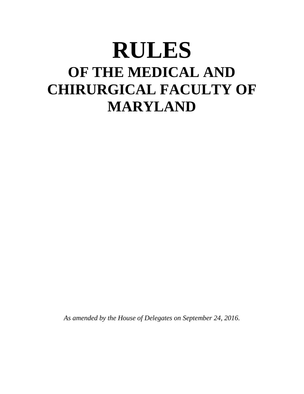# **RULES OF THE MEDICAL AND CHIRURGICAL FACULTY OF MARYLAND**

*As amended by the House of Delegates on September 24, 2016.*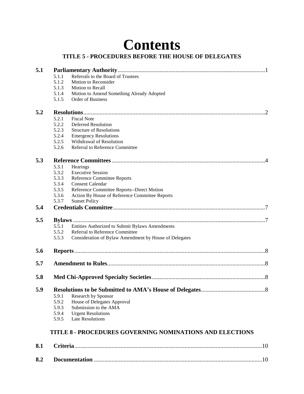# **Contents**

# **TITLE 5 - PROCEDURES BEFORE THE HOUSE OF DELEGATES**

| 5.1 |                   |                                                                 |  |
|-----|-------------------|-----------------------------------------------------------------|--|
|     | 5.1.1             | Referrals to the Board of Trustees                              |  |
|     | 5.1.2             | Motion to Reconsider                                            |  |
|     | 5.1.3             | Motion to Recall                                                |  |
|     | 5.1.4             | Motion to Amend Something Already Adopted                       |  |
|     | 5.1.5             | Order of Business                                               |  |
| 5.2 |                   |                                                                 |  |
|     | 5.2.1             | <b>Fiscal Note</b>                                              |  |
|     | 5.2.2             | Deferred Resolution                                             |  |
|     | 5.2.3             | <b>Structure of Resolutions</b>                                 |  |
|     | 5.2.4             | <b>Emergency Resolutions</b>                                    |  |
|     | 5.2.5             | Withdrawal of Resolution                                        |  |
|     | 5.2.6             | Referral to Reference Committee                                 |  |
| 5.3 |                   |                                                                 |  |
|     | 5.3.1<br>Hearings |                                                                 |  |
|     | 5.3.2             | <b>Executive Session</b>                                        |  |
|     | 5.3.3             | Reference Committee Reports                                     |  |
|     | 5.3.4             | <b>Consent Calendar</b>                                         |  |
|     | 5.3.5             | Reference Committee Reports--Direct Motion                      |  |
|     | 5.3.6             | Action By House of Reference Committee Reports                  |  |
|     | 5.3.7             | <b>Sunset Policy</b>                                            |  |
| 5.4 |                   |                                                                 |  |
| 5.5 |                   |                                                                 |  |
|     | 5.5.1             | Entities Authorized to Submit Bylaws Amendments                 |  |
|     | 5.5.2             | Referral to Reference Committee                                 |  |
|     | 5.5.3             | Consideration of Bylaw Amendment by House of Delegates          |  |
| 5.6 |                   |                                                                 |  |
| 5.7 |                   |                                                                 |  |
|     |                   |                                                                 |  |
| 5.8 |                   |                                                                 |  |
| 5.9 |                   |                                                                 |  |
|     | 5.9.1             | Research by Sponsor                                             |  |
|     | 5.9.2             | House of Delegates Approval                                     |  |
|     | 5.9.3             | Submission to the AMA                                           |  |
|     | 5.9.4             | <b>Urgent Resolutions</b>                                       |  |
|     | 5.9.5             | <b>Late Resolutions</b>                                         |  |
|     |                   | <b>TITLE 8 - PROCEDURES GOVERNING NOMINATIONS AND ELECTIONS</b> |  |
| 8.1 |                   |                                                                 |  |
| 8.2 |                   |                                                                 |  |
|     |                   |                                                                 |  |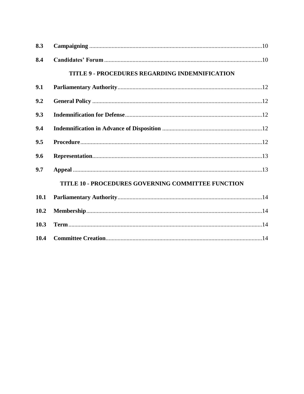| 8.3  |                                                    |  |
|------|----------------------------------------------------|--|
| 8.4  |                                                    |  |
|      | TITLE 9 - PROCEDURES REGARDING INDEMNIFICATION     |  |
| 9.1  |                                                    |  |
| 9.2  |                                                    |  |
| 9.3  |                                                    |  |
| 9.4  |                                                    |  |
| 9.5  |                                                    |  |
| 9.6  |                                                    |  |
| 9.7  |                                                    |  |
|      | TITLE 10 - PROCEDURES GOVERNING COMMITTEE FUNCTION |  |
| 10.1 |                                                    |  |
| 10.2 |                                                    |  |
| 10.3 |                                                    |  |
| 10.4 |                                                    |  |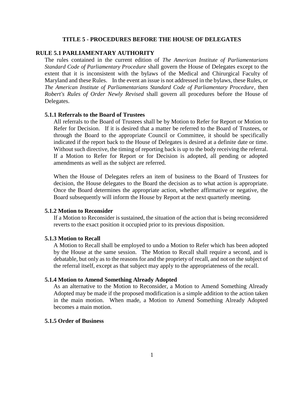#### **TITLE 5 - PROCEDURES BEFORE THE HOUSE OF DELEGATES**

# **RULE 5.1 PARLIAMENTARY AUTHORITY**

The rules contained in the current edition of *The American Institute of Parliamentarians Standard Code of Parliamentary Procedure* shall govern the House of Delegates except to the extent that it is inconsistent with the bylaws of the Medical and Chirurgical Faculty of Maryland and these Rules. In the event an issue is not addressed in the bylaws, these Rules, or *The American Institute of Parliamentarians Standard Code of Parliamentary Procedure*, then *Robert's Rules of Order Newly Revised* shall govern all procedures before the House of Delegates.

## **5.1.1 Referrals to the Board of Trustees**

All referrals to the Board of Trustees shall be by Motion to Refer for Report or Motion to Refer for Decision. If it is desired that a matter be referred to the Board of Trustees, or through the Board to the appropriate Council or Committee, it should be specifically indicated if the report back to the House of Delegates is desired at a definite date or time. Without such directive, the timing of reporting back is up to the body receiving the referral. If a Motion to Refer for Report or for Decision is adopted, all pending or adopted amendments as well as the subject are referred.

When the House of Delegates refers an item of business to the Board of Trustees for decision, the House delegates to the Board the decision as to what action is appropriate. Once the Board determines the appropriate action, whether affirmative or negative, the Board subsequently will inform the House by Report at the next quarterly meeting.

# **5.1.2 Motion to Reconsider**

If a Motion to Reconsider is sustained, the situation of the action that is being reconsidered reverts to the exact position it occupied prior to its previous disposition.

#### **5.1.3 Motion to Recall**

A Motion to Recall shall be employed to undo a Motion to Refer which has been adopted by the House at the same session. The Motion to Recall shall require a second, and is debatable, but only as to the reasons for and the propriety of recall, and not on the subject of the referral itself, except as that subject may apply to the appropriateness of the recall.

#### **5.1.4 Motion to Amend Something Already Adopted**

As an alternative to the Motion to Reconsider, a Motion to Amend Something Already Adopted may be made if the proposed modification is a simple addition to the action taken in the main motion. When made, a Motion to Amend Something Already Adopted becomes a main motion.

# **5.1.5 Order of Business**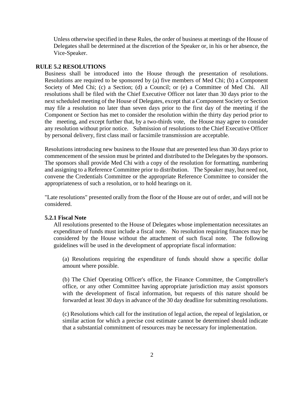Unless otherwise specified in these Rules, the order of business at meetings of the House of Delegates shall be determined at the discretion of the Speaker or, in his or her absence, the Vice-Speaker.

#### **RULE 5.2 RESOLUTIONS**

Business shall be introduced into the House through the presentation of resolutions. Resolutions are required to be sponsored by (a) five members of Med Chi; (b) a Component Society of Med Chi; (c) a Section; (d) a Council; or (e) a Committee of Med Chi. All resolutions shall be filed with the Chief Executive Officer not later than 30 days prior to the next scheduled meeting of the House of Delegates, except that a Component Society or Section may file a resolution no later than seven days prior to the first day of the meeting if the Component or Section has met to consider the resolution within the thirty day period prior to the meeting, and except further that, by a two-thirds vote, the House may agree to consider any resolution without prior notice. Submission of resolutions to the Chief Executive Officer by personal delivery, first class mail or facsimile transmission are acceptable.

Resolutions introducing new business to the House that are presented less than 30 days prior to commencement of the session must be printed and distributed to the Delegates by the sponsors. The sponsors shall provide Med Chi with a copy of the resolution for formatting, numbering and assigning to a Reference Committee prior to distribution. The Speaker may, but need not, convene the Credentials Committee or the appropriate Reference Committee to consider the appropriateness of such a resolution, or to hold hearings on it.

"Late resolutions" presented orally from the floor of the House are out of order, and will not be considered.

#### **5.2.1 Fiscal Note**

All resolutions presented to the House of Delegates whose implementation necessitates an expenditure of funds must include a fiscal note. No resolution requiring finances may be considered by the House without the attachment of such fiscal note. The following guidelines will be used in the development of appropriate fiscal information:

(a) Resolutions requiring the expenditure of funds should show a specific dollar amount where possible.

(b) The Chief Operating Officer's office, the Finance Committee, the Comptroller's office, or any other Committee having appropriate jurisdiction may assist sponsors with the development of fiscal information, but requests of this nature should be forwarded at least 30 days in advance of the 30 day deadline for submitting resolutions.

(c) Resolutions which call for the institution of legal action, the repeal of legislation, or similar action for which a precise cost estimate cannot be determined should indicate that a substantial commitment of resources may be necessary for implementation.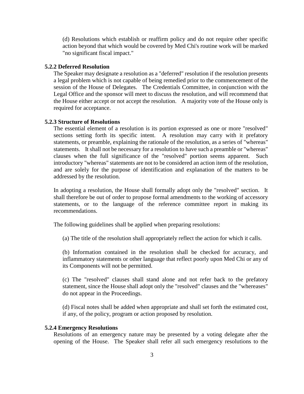(d) Resolutions which establish or reaffirm policy and do not require other specific action beyond that which would be covered by Med Chi's routine work will be marked "no significant fiscal impact."

# **5.2.2 Deferred Resolution**

The Speaker may designate a resolution as a "deferred" resolution if the resolution presents a legal problem which is not capable of being remedied prior to the commencement of the session of the House of Delegates. The Credentials Committee, in conjunction with the Legal Office and the sponsor will meet to discuss the resolution, and will recommend that the House either accept or not accept the resolution. A majority vote of the House only is required for acceptance.

#### **5.2.3 Structure of Resolutions**

The essential element of a resolution is its portion expressed as one or more "resolved" sections setting forth its specific intent. A resolution may carry with it prefatory statements, or preamble, explaining the rationale of the resolution, as a series of "whereas" statements. It shall not be necessary for a resolution to have such a preamble or "whereas" clauses when the full significance of the "resolved" portion seems apparent. Such introductory "whereas" statements are not to be considered an action item of the resolution, and are solely for the purpose of identification and explanation of the matters to be addressed by the resolution.

In adopting a resolution, the House shall formally adopt only the "resolved" section. It shall therefore be out of order to propose formal amendments to the working of accessory statements, or to the language of the reference committee report in making its recommendations.

The following guidelines shall be applied when preparing resolutions:

(a) The title of the resolution shall appropriately reflect the action for which it calls.

(b) Information contained in the resolution shall be checked for accuracy, and inflammatory statements or other language that reflect poorly upon Med Chi or any of its Components will not be permitted.

(c) The "resolved" clauses shall stand alone and not refer back to the prefatory statement, since the House shall adopt only the "resolved" clauses and the "whereases" do not appear in the Proceedings.

(d) Fiscal notes shall be added when appropriate and shall set forth the estimated cost, if any, of the policy, program or action proposed by resolution.

#### **5.2.4 Emergency Resolutions**

Resolutions of an emergency nature may be presented by a voting delegate after the opening of the House. The Speaker shall refer all such emergency resolutions to the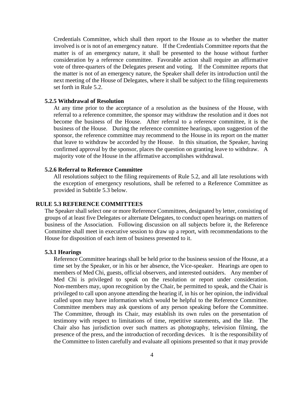Credentials Committee, which shall then report to the House as to whether the matter involved is or is not of an emergency nature. If the Credentials Committee reports that the matter is of an emergency nature, it shall be presented to the house without further consideration by a reference committee. Favorable action shall require an affirmative vote of three-quarters of the Delegates present and voting. If the Committee reports that the matter is not of an emergency nature, the Speaker shall defer its introduction until the next meeting of the House of Delegates, where it shall be subject to the filing requirements set forth in Rule 5.2.

# **5.2.5 Withdrawal of Resolution**

At any time prior to the acceptance of a resolution as the business of the House, with referral to a reference committee, the sponsor may withdraw the resolution and it does not become the business of the House. After referral to a reference committee, it is the business of the House. During the reference committee hearings, upon suggestion of the sponsor, the reference committee may recommend to the House in its report on the matter that leave to withdraw be accorded by the House. In this situation, the Speaker, having confirmed approval by the sponsor, places the question on granting leave to withdraw. A majority vote of the House in the affirmative accomplishes withdrawal.

# **5.2.6 Referral to Reference Committee**

All resolutions subject to the filing requirements of Rule 5.2, and all late resolutions with the exception of emergency resolutions, shall be referred to a Reference Committee as provided in Subtitle 5.3 below.

#### **RULE 5.3 REFERENCE COMMITTEES**

The Speaker shall select one or more Reference Committees, designated by letter, consisting of groups of at least five Delegates or alternate Delegates, to conduct open hearings on matters of business of the Association. Following discussion on all subjects before it, the Reference Committee shall meet in executive session to draw up a report, with recommendations to the House for disposition of each item of business presented to it.

#### **5.3.1 Hearings**

Reference Committee hearings shall be held prior to the business session of the House, at a time set by the Speaker, or in his or her absence, the Vice-speaker. Hearings are open to members of Med Chi, guests, official observers, and interested outsiders. Any member of Med Chi is privileged to speak on the resolution or report under consideration. Non-members may, upon recognition by the Chair, be permitted to speak, and the Chair is privileged to call upon anyone attending the hearing if, in his or her opinion, the individual called upon may have information which would be helpful to the Reference Committee. Committee members may ask questions of any person speaking before the Committee. The Committee, through its Chair, may establish its own rules on the presentation of testimony with respect to limitations of time, repetitive statements, and the like. The Chair also has jurisdiction over such matters as photography, television filming, the presence of the press, and the introduction of recording devices. It is the responsibility of the Committee to listen carefully and evaluate all opinions presented so that it may provide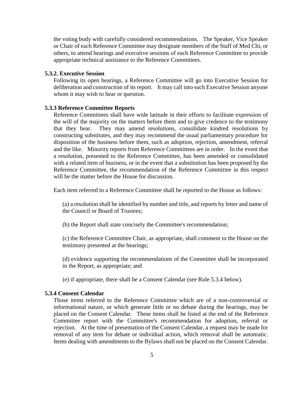the voting body with carefully considered recommendations. The Speaker, Vice Speaker or Chair of each Reference Committee may designate members of the Staff of Med Chi, or others, to attend hearings and executive sessions of each Reference Committee to provide appropriate technical assistance to the Reference Committees.

# **5.3.2. Executive Session**

Following its open hearings, a Reference Committee will go into Executive Session for deliberation and construction of its report. It may call into such Executive Session anyone whom it may wish to hear or question.

### **5.3.3 Reference Committee Reports**

Reference Committees shall have wide latitude in their efforts to facilitate expression of the will of the majority on the matters before them and to give credence to the testimony that they hear. They may amend resolutions, consolidate kindred resolutions by constructing substitutes, and they may recommend the usual parliamentary procedure for disposition of the business before them, such as adoption, rejection, amendment, referral and the like. Minority reports from Reference Committees are in order. In the event that a resolution, presented to the Reference Committee, has been amended or consolidated with a related item of business, or in the event that a substitution has been proposed by the Reference Committee, the recommendation of the Reference Committee in this respect will be the matter before the House for discussion.

Each item referred to a Reference Committee shall be reported to the House as follows:

(a) a resolution shall be identified by number and title, and reports by letter and name of the Council or Board of Trustees;

(b) the Report shall state concisely the Committee's recommendation;

(c) the Reference Committee Chair, as appropriate, shall comment to the House on the testimony presented at the hearings;

(d) evidence supporting the recommendations of the Committee shall be incorporated in the Report, as appropriate; and

(e) if appropriate, there shall be a Consent Calendar (see Rule 5.3.4 below).

# **5.3.4 Consent Calendar**

Those items referred to the Reference Committee which are of a non-controversial or informational nature, or which generate little or no debate during the hearings, may be placed on the Consent Calendar. These items shall be listed at the end of the Reference Committee report with the Committee's recommendation for adoption, referral or rejection. At the time of presentation of the Consent Calendar, a request may be made for removal of any item for debate or individual action, which removal shall be automatic. Items dealing with amendments to the Bylaws shall not be placed on the Consent Calendar.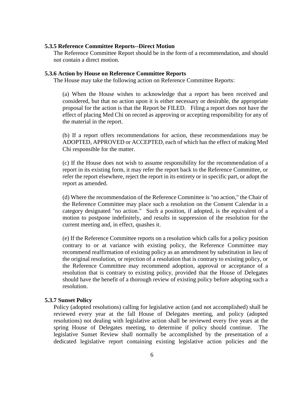#### **5.3.5 Reference Committee Reports--Direct Motion**

The Reference Committee Report should be in the form of a recommendation, and should not contain a direct motion.

#### **5.3.6 Action by House on Reference Committee Reports**

The House may take the following action on Reference Committee Reports:

(a) When the House wishes to acknowledge that a report has been received and considered, but that no action upon it is either necessary or desirable, the appropriate proposal for the action is that the Report be FILED. Filing a report does not have the effect of placing Med Chi on record as approving or accepting responsibility for any of the material in the report.

(b) If a report offers recommendations for action, these recommendations may be ADOPTED, APPROVED or ACCEPTED, each of which has the effect of making Med Chi responsible for the matter.

(c) If the House does not wish to assume responsibility for the recommendation of a report in its existing form, it may refer the report back to the Reference Committee, or refer the report elsewhere, reject the report in its entirety or in specific part, or adopt the report as amended.

(d) Where the recommendation of the Reference Committee is "no action," the Chair of the Reference Committee may place such a resolution on the Consent Calendar in a category designated "no action." Such a position, if adopted, is the equivalent of a motion to postpone indefinitely, and results in suppression of the resolution for the current meeting and, in effect, quashes it.

(e) If the Reference Committee reports on a resolution which calls for a policy position contrary to or at variance with existing policy, the Reference Committee may recommend reaffirmation of existing policy as an amendment by substitution in lieu of the original resolution, or rejection of a resolution that is contrary to existing policy, or the Reference Committee may recommend adoption, approval or acceptance of a resolution that is contrary to existing policy, provided that the House of Delegates should have the benefit of a thorough review of existing policy before adopting such a resolution.

#### **5.3.7 Sunset Policy**

Policy (adopted resolutions) calling for legislative action (and not accomplished) shall be reviewed every year at the fall House of Delegates meeting, and policy (adopted resolutions) not dealing with legislative action shall be reviewed every five years at the spring House of Delegates meeting, to determine if policy should continue. The legislative Sunset Review shall normally be accomplished by the presentation of a dedicated legislative report containing existing legislative action policies and the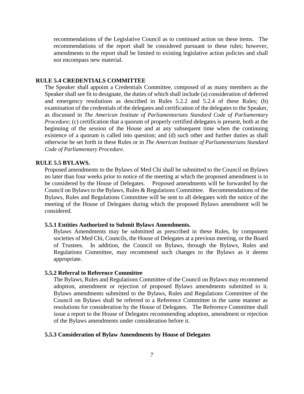recommendations of the Legislative Council as to continued action on these items. The recommendations of the report shall be considered pursuant to these rules; however, amendments to the report shall be limited to existing legislative action policies and shall not encompass new material.

#### **RULE 5.4 CREDENTIALS COMMITTEE**

The Speaker shall appoint a Credentials Committee, composed of as many members as the Speaker shall see fit to designate, the duties of which shall include (a) consideration of deferred and emergency resolutions as described in Rules 5.2.2 and 5.2.4 of these Rules; (b) examination of the credentials of the delegates and certification of the delegates to the Speaker, as discussed in *The American Institute of Parliamentarians Standard Code of Parliamentary Procedure*; (c) certification that a quorum of properly certified delegates is present, both at the beginning of the session of the House and at any subsequent time when the continuing existence of a quorum is called into question; and (d) such other and further duties as shall otherwise be set forth in these Rules or in *The American Institute of Parliamentarians Standard Code of Parliamentary Procedure*.

#### **RULE 5.5 BYLAWS.**

Proposed amendments to the Bylaws of Med Chi shall be submitted to the Council on Bylaws no later than four weeks prior to notice of the meeting at which the proposed amendment is to be considered by the House of Delegates. Proposed amendments will be forwarded by the Council on Bylaws to the Bylaws, Rules & Regulations Committee. Recommendations of the Bylaws, Rules and Regulations Committee will be sent to all delegates with the notice of the meeting of the House of Delegates during which the proposed Bylaws amendment will be considered.

#### **5.5.1 Entities Authorized to Submit Bylaws Amendments.**

Bylaws Amendments may be submitted as prescribed in these Rules, by component societies of Med Chi, Councils, the House of Delegates at a previous meeting, or the Board of Trustees. In addition, the Council on Bylaws, through the Bylaws, Rules and Regulations Committee, may recommend such changes to the Bylaws as it deems appropriate.

# **5.5.2 Referral to Reference Committee**

The Bylaws, Rules and Regulations Committee of the Council on Bylaws may recommend adoption, amendment or rejection of proposed Bylaws amendments submitted to it. Bylaws amendments submitted to the Bylaws, Rules and Regulations Committee of the Council on Bylaws shall be referred to a Reference Committee in the same manner as resolutions for consideration by the House of Delegates. The Reference Committee shall issue a report to the House of Delegates recommending adoption, amendment or rejection of the Bylaws amendments under consideration before it.

#### **5.5.3 Consideration of Bylaw Amendments by House of Delegates**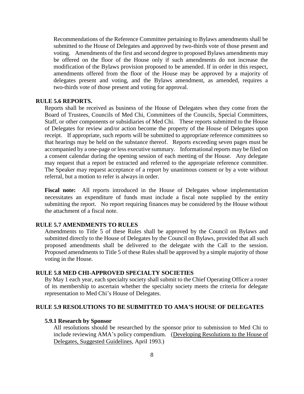Recommendations of the Reference Committee pertaining to Bylaws amendments shall be submitted to the House of Delegates and approved by two-thirds vote of those present and voting. Amendments of the first and second degree to proposed Bylaws amendments may be offered on the floor of the House only if such amendments do not increase the modification of the Bylaws provision proposed to be amended. If in order in this respect, amendments offered from the floor of the House may be approved by a majority of delegates present and voting, and the Bylaws amendment, as amended, requires a two-thirds vote of those present and voting for approval.

#### **RULE 5.6 REPORTS.**

Reports shall be received as business of the House of Delegates when they come from the Board of Trustees, Councils of Med Chi, Committees of the Councils, Special Committees, Staff, or other components or subsidiaries of Med Chi. These reports submitted to the House of Delegates for review and/or action become the property of the House of Delegates upon receipt. If appropriate, such reports will be submitted to appropriate reference committees so that hearings may be held on the substance thereof. Reports exceeding seven pages must be accompanied by a one-page or less executive summary. Informational reports may be filed on a consent calendar during the opening session of each meeting of the House. Any delegate may request that a report be extracted and referred to the appropriate reference committee. The Speaker may request acceptance of a report by unanimous consent or by a vote without referral, but a motion to refer is always in order.

**Fiscal note:** All reports introduced in the House of Delegates whose implementation necessitates an expenditure of funds must include a fiscal note supplied by the entity submitting the report. No report requiring finances may be considered by the House without the attachment of a fiscal note.

# **RULE 5.7 AMENDMENTS TO RULES**

Amendments to Title 5 of these Rules shall be approved by the Council on Bylaws and submitted directly to the House of Delegates by the Council on Bylaws, provided that all such proposed amendments shall be delivered to the delegate with the Call to the session. Proposed amendments to Title 5 of these Rules shall be approved by a simple majority of those voting in the House.

#### **RULE 5.8 MED CHI-APPROVED SPECIALTY SOCIETIES**

By May 1 each year, each specialty society shall submit to the Chief Operating Officer a roster of its membership to ascertain whether the specialty society meets the criteria for delegate representation to Med Chi's House of Delegates.

# **RULE 5.9 RESOLUTIONS TO BE SUBMITTED TO AMA'S HOUSE OF DELEGATES**

#### **5.9.1 Research by Sponsor**

All resolutions should be researched by the sponsor prior to submission to Med Chi to include reviewing AMA's policy compendium. (Developing Resolutions to the House of Delegates, Suggested Guidelines, April 1993.)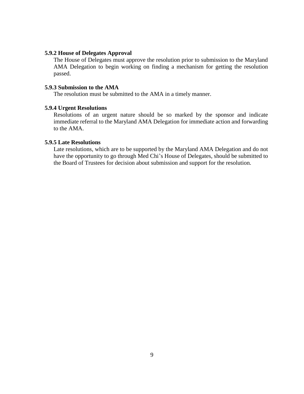# **5.9.2 House of Delegates Approval**

The House of Delegates must approve the resolution prior to submission to the Maryland AMA Delegation to begin working on finding a mechanism for getting the resolution passed.

# **5.9.3 Submission to the AMA**

The resolution must be submitted to the AMA in a timely manner.

#### **5.9.4 Urgent Resolutions**

Resolutions of an urgent nature should be so marked by the sponsor and indicate immediate referral to the Maryland AMA Delegation for immediate action and forwarding to the AMA.

# **5.9.5 Late Resolutions**

Late resolutions, which are to be supported by the Maryland AMA Delegation and do not have the opportunity to go through Med Chi's House of Delegates, should be submitted to the Board of Trustees for decision about submission and support for the resolution.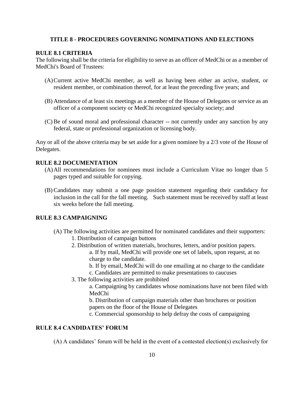# **TITLE 8 - PROCEDURES GOVERNING NOMINATIONS AND ELECTIONS**

# **RULE 8.1 CRITERIA**

The following shall be the criteria for eligibility to serve as an officer of MedChi or as a member of MedChi's Board of Trustees:

- (A)Current active MedChi member, as well as having been either an active, student, or resident member, or combination thereof, for at least the preceding five years; and
- (B) Attendance of at least six meetings as a member of the House of Delegates or service as an officer of a component society or MedChi recognized specialty society; and
- (C)Be of sound moral and professional character -- not currently under any sanction by any federal, state or professional organization or licensing body.

Any or all of the above criteria may be set aside for a given nominee by a 2/3 vote of the House of Delegates.

# **RULE 8.2 DOCUMENTATION**

- (A)All recommendations for nominees must include a Curriculum Vitae no longer than 5 pages typed and suitable for copying.
- (B) Candidates may submit a one page position statement regarding their candidacy for inclusion in the call for the fall meeting. Such statement must be received by staff at least six weeks before the fall meeting.

# **RULE 8.3 CAMPAIGNING**

- (A) The following activities are permitted for nominated candidates and their supporters:
	- 1. Distribution of campaign buttons
	- 2. Distribution of written materials, brochures, letters, and/or position papers. a. If by mail, MedChi will provide one set of labels, upon request, at no charge to the candidate.
		- b. If by email, MedChi will do one emailing at no charge to the candidate
		- c. Candidates are permitted to make presentations to caucuses
	- 3. The following activities are prohibited

a. Campaigning by candidates whose nominations have not been filed with MedChi

b. Distribution of campaign materials other than brochures or position papers on the floor of the House of Delegates

c. Commercial sponsorship to help defray the costs of campaigning

# **RULE 8.4 CANDIDATES' FORUM**

(A) A candidates' forum will be held in the event of a contested election(s) exclusively for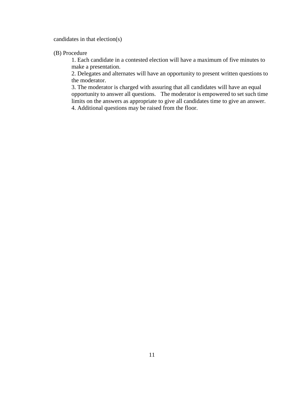candidates in that election(s)

(B) Procedure

1. Each candidate in a contested election will have a maximum of five minutes to make a presentation.

2. Delegates and alternates will have an opportunity to present written questions to the moderator.

3. The moderator is charged with assuring that all candidates will have an equal opportunity to answer all questions. The moderator is empowered to set such time limits on the answers as appropriate to give all candidates time to give an answer. 4. Additional questions may be raised from the floor.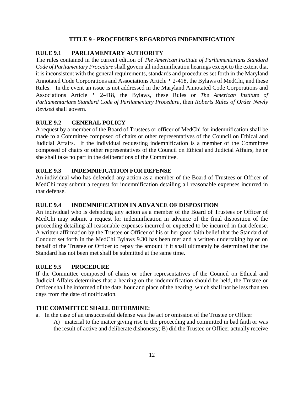# **TITLE 9 - PROCEDURES REGARDING INDEMNIFICATION**

# **RULE 9.1 PARLIAMENTARY AUTHORITY**

The rules contained in the current edition of *The American Institute of Parliamentarians Standard Code of Parliamentary Procedure* shall govern all indemnification hearings except to the extent that it is inconsistent with the general requirements, standards and procedures set forth in the Maryland Annotated Code Corporations and Associations Article ' 2-418, the Bylaws of MedChi, and these Rules. In the event an issue is not addressed in the Maryland Annotated Code Corporations and Associations Article ' 2-418, the Bylaws, these Rules or *The American Institute of Parliamentarians Standard Code of Parliamentary Procedure*, then *Roberts Rules of Order Newly Revised* shall govern.

# **RULE 9.2 GENERAL POLICY**

A request by a member of the Board of Trustees or officer of MedChi for indemnification shall be made to a Committee composed of chairs or other representatives of the Council on Ethical and Judicial Affairs. If the individual requesting indemnification is a member of the Committee composed of chairs or other representatives of the Council on Ethical and Judicial Affairs, he or she shall take no part in the deliberations of the Committee.

# **RULE 9.3 INDEMNIFICATION FOR DEFENSE**

An individual who has defended any action as a member of the Board of Trustees or Officer of MedChi may submit a request for indemnification detailing all reasonable expenses incurred in that defense.

# **RULE 9.4 INDEMNIFICATION IN ADVANCE OF DISPOSITION**

An individual who is defending any action as a member of the Board of Trustees or Officer of MedChi may submit a request for indemnification in advance of the final disposition of the proceeding detailing all reasonable expenses incurred or expected to be incurred in that defense. A written affirmation by the Trustee or Officer of his or her good faith belief that the Standard of Conduct set forth in the MedChi Bylaws 9.30 has been met and a written undertaking by or on behalf of the Trustee or Officer to repay the amount if it shall ultimately be determined that the Standard has not been met shall be submitted at the same time.

# **RULE 9.5 PROCEDURE**

If the Committee composed of chairs or other representatives of the Council on Ethical and Judicial Affairs determines that a hearing on the indemnification should be held, the Trustee or Officer shall be informed of the date, hour and place of the hearing, which shall not be less than ten days from the date of notification.

# **THE COMMITTEE SHALL DETERMINE:**

- a. In the case of an unsuccessful defense was the act or omission of the Trustee or Officer
	- A) material to the matter giving rise to the proceeding and committed in bad faith or was the result of active and deliberate dishonesty; B) did the Trustee or Officer actually receive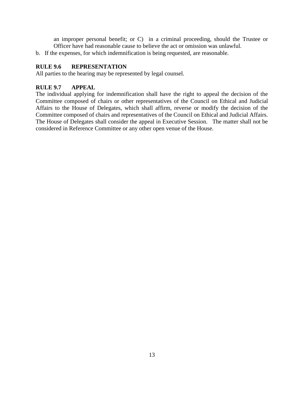an improper personal benefit; or C) in a criminal proceeding, should the Trustee or Officer have had reasonable cause to believe the act or omission was unlawful.

b. If the expenses, for which indemnification is being requested, are reasonable.

# **RULE 9.6 REPRESENTATION**

All parties to the hearing may be represented by legal counsel.

# **RULE 9.7 APPEAL**

The individual applying for indemnification shall have the right to appeal the decision of the Committee composed of chairs or other representatives of the Council on Ethical and Judicial Affairs to the House of Delegates, which shall affirm, reverse or modify the decision of the Committee composed of chairs and representatives of the Council on Ethical and Judicial Affairs. The House of Delegates shall consider the appeal in Executive Session. The matter shall not be considered in Reference Committee or any other open venue of the House.